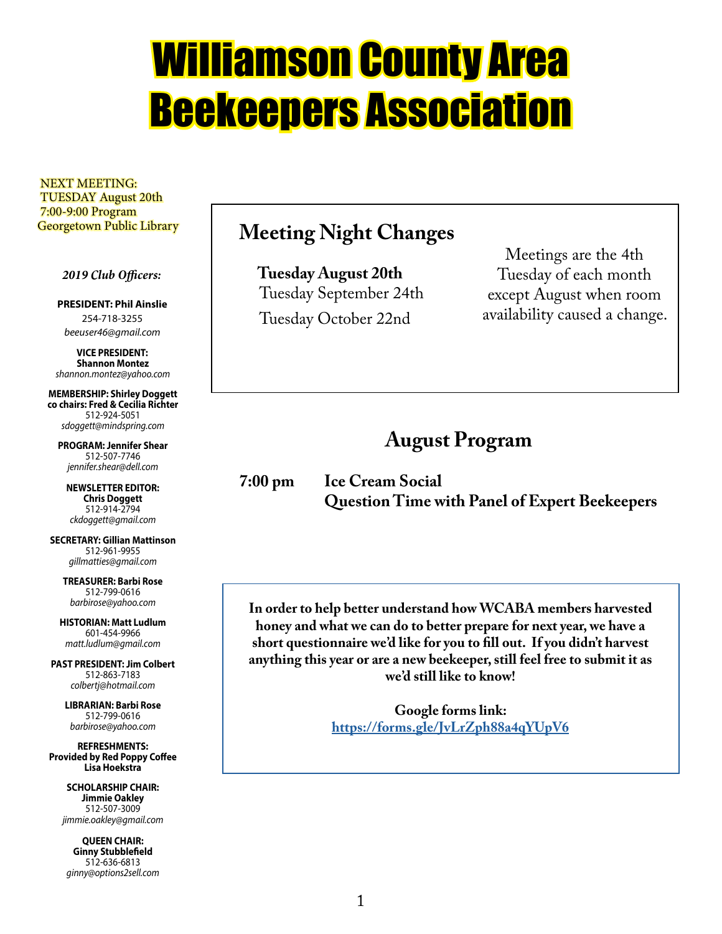# Williamson County Area Beekeepers Association

 NEXT MEETING: TUESDAY August 20th 7:00-9:00 Program Georgetown Public Library

 *2019 Club Officers:*

**PRESIDENT: Phil Ainslie** 254-718-3255 *beeuser46@gmail.com*

**VICE PRESIDENT: Shannon Montez** *shannon.montez@yahoo.com*

**MEMBERSHIP: Shirley Doggett co chairs: Fred & Cecilia Richter** 512-924-5051 *sdoggett@mindspring.com*

**PROGRAM: Jennifer Shear** 512-507-7746 *jennifer.shear@dell.com*

**NEWSLETTER EDITOR: Chris Doggett** 512-914-2794 *ckdoggett@gmail.com*

**SECRETARY: Gillian Mattinson** 512-961-9955 *gillmatties@gmail.com*

> **TREASURER: Barbi Rose** 512-799-0616 *barbirose@yahoo.com*

**HISTORIAN: Matt Ludlum** 601-454-9966 *matt.ludlum@gmail.com*

**PAST PRESIDENT: Jim Colbert** 512-863-7183 *colbertj@hotmail.com*

> **LIBRARIAN: Barbi Rose** 512-799-0616 *barbirose@yahoo.com*

**REFRESHMENTS: Provided by Red Poppy Coffee Lisa Hoekstra**

> **SCHOLARSHIP CHAIR: Jimmie Oakley** 512-507-3009 *jimmie.oakley@gmail.com*

**QUEEN CHAIR: Ginny Stubblefield** 512-636-6813 *ginny@options2sell.com*

## **Meeting Night Changes**

 **Tuesday August 20th** Tuesday September 24th Tuesday October 22nd

Meetings are the 4th Tuesday of each month except August when room availability caused a change.

## **August Program**

**7:00 pm Ice Cream Social Question Time with Panel of Expert Beekeepers**

**In order to help better understand how WCABA members harvested honey and what we can do to better prepare for next year, we have a short questionnaire we'd like for you to fill out. If you didn't harvest anything this year or are a new beekeeper, still feel free to submit it as we'd still like to know!**

> **Google forms link: https://forms.gle/JvLrZph88a4qYUpV6**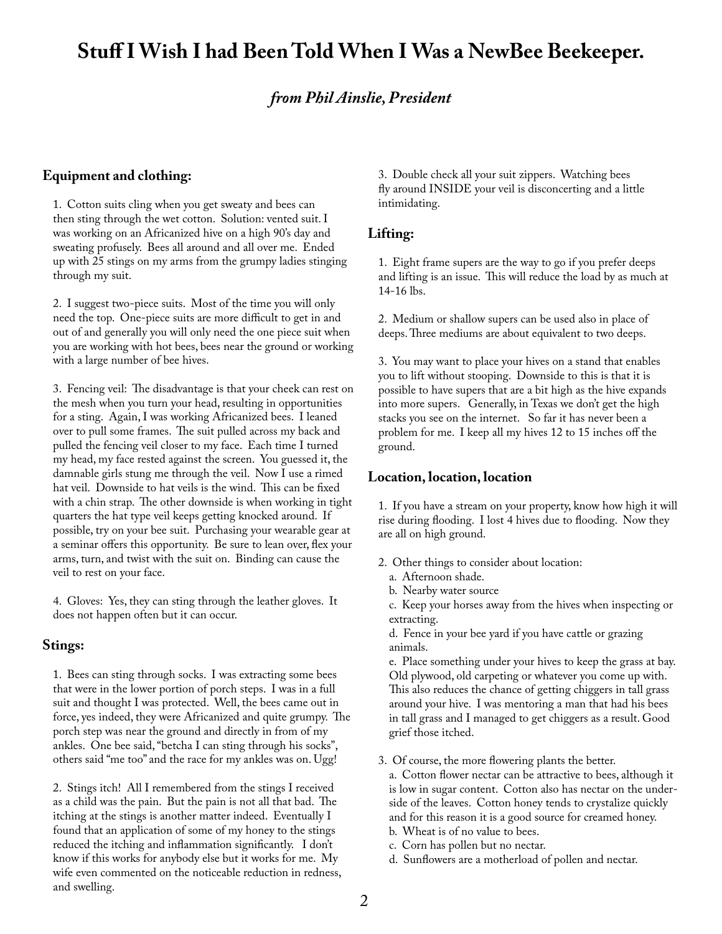## **Stuff I Wish I had Been Told When I Was a NewBee Beekeeper.**

## *from Phil Ainslie, President*

#### **Equipment and clothing:**

1. Cotton suits cling when you get sweaty and bees can then sting through the wet cotton. Solution: vented suit. I was working on an Africanized hive on a high 90's day and sweating profusely. Bees all around and all over me. Ended up with 25 stings on my arms from the grumpy ladies stinging through my suit.

2. I suggest two-piece suits. Most of the time you will only need the top. One-piece suits are more difficult to get in and out of and generally you will only need the one piece suit when you are working with hot bees, bees near the ground or working with a large number of bee hives.

3. Fencing veil: The disadvantage is that your cheek can rest on the mesh when you turn your head, resulting in opportunities for a sting. Again, I was working Africanized bees. I leaned over to pull some frames. The suit pulled across my back and pulled the fencing veil closer to my face. Each time I turned my head, my face rested against the screen. You guessed it, the damnable girls stung me through the veil. Now I use a rimed hat veil. Downside to hat veils is the wind. This can be fixed with a chin strap. The other downside is when working in tight quarters the hat type veil keeps getting knocked around. If possible, try on your bee suit. Purchasing your wearable gear at a seminar offers this opportunity. Be sure to lean over, flex your arms, turn, and twist with the suit on. Binding can cause the veil to rest on your face.

4. Gloves: Yes, they can sting through the leather gloves. It does not happen often but it can occur.

#### **Stings:**

1. Bees can sting through socks. I was extracting some bees that were in the lower portion of porch steps. I was in a full suit and thought I was protected. Well, the bees came out in force, yes indeed, they were Africanized and quite grumpy. The porch step was near the ground and directly in from of my ankles. One bee said, "betcha I can sting through his socks", others said "me too" and the race for my ankles was on. Ugg!

2. Stings itch! All I remembered from the stings I received as a child was the pain. But the pain is not all that bad. The itching at the stings is another matter indeed. Eventually I found that an application of some of my honey to the stings reduced the itching and inflammation significantly. I don't know if this works for anybody else but it works for me. My wife even commented on the noticeable reduction in redness, and swelling.

3. Double check all your suit zippers. Watching bees fly around INSIDE your veil is disconcerting and a little intimidating.

#### **Lifting:**

1. Eight frame supers are the way to go if you prefer deeps and lifting is an issue. This will reduce the load by as much at 14-16 lbs.

2. Medium or shallow supers can be used also in place of deeps. Three mediums are about equivalent to two deeps.

3. You may want to place your hives on a stand that enables you to lift without stooping. Downside to this is that it is possible to have supers that are a bit high as the hive expands into more supers. Generally, in Texas we don't get the high stacks you see on the internet. So far it has never been a problem for me. I keep all my hives 12 to 15 inches off the ground.

#### **Location, location, location**

1. If you have a stream on your property, know how high it will rise during flooding. I lost 4 hives due to flooding. Now they are all on high ground.

- 2. Other things to consider about location:
	- a. Afternoon shade.
	- b. Nearby water source

c. Keep your horses away from the hives when inspecting or extracting.

d. Fence in your bee yard if you have cattle or grazing animals.

e. Place something under your hives to keep the grass at bay. Old plywood, old carpeting or whatever you come up with. This also reduces the chance of getting chiggers in tall grass around your hive. I was mentoring a man that had his bees in tall grass and I managed to get chiggers as a result. Good grief those itched.

3. Of course, the more flowering plants the better.

a. Cotton flower nectar can be attractive to bees, although it is low in sugar content. Cotton also has nectar on the underside of the leaves. Cotton honey tends to crystalize quickly and for this reason it is a good source for creamed honey. b. Wheat is of no value to bees.

c. Corn has pollen but no nectar.

d. Sunflowers are a motherload of pollen and nectar.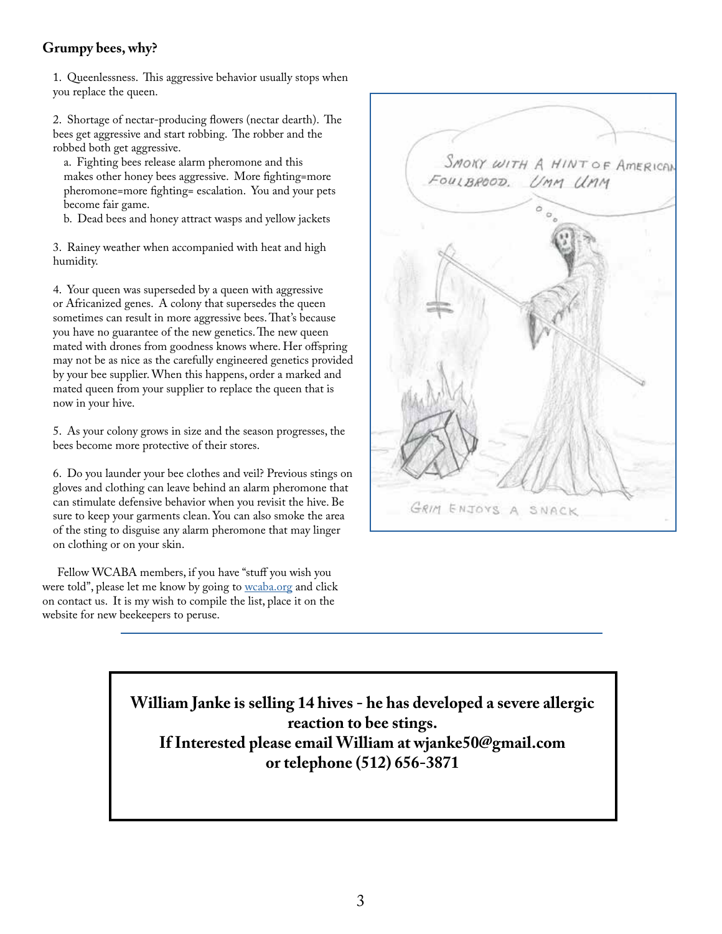## **Grumpy bees, why?**

1. Queenlessness. This aggressive behavior usually stops when you replace the queen.

2. Shortage of nectar-producing flowers (nectar dearth). The bees get aggressive and start robbing. The robber and the robbed both get aggressive.

a. Fighting bees release alarm pheromone and this makes other honey bees aggressive. More fighting=more pheromone=more fighting= escalation. You and your pets become fair game.

b. Dead bees and honey attract wasps and yellow jackets

3. Rainey weather when accompanied with heat and high humidity.

4. Your queen was superseded by a queen with aggressive or Africanized genes. A colony that supersedes the queen sometimes can result in more aggressive bees. That's because you have no guarantee of the new genetics. The new queen mated with drones from goodness knows where. Her offspring may not be as nice as the carefully engineered genetics provided by your bee supplier. When this happens, order a marked and mated queen from your supplier to replace the queen that is now in your hive.

5. As your colony grows in size and the season progresses, the bees become more protective of their stores.

6. Do you launder your bee clothes and veil? Previous stings on gloves and clothing can leave behind an alarm pheromone that can stimulate defensive behavior when you revisit the hive. Be sure to keep your garments clean. You can also smoke the area of the sting to disguise any alarm pheromone that may linger on clothing or on your skin.

 Fellow WCABA members, if you have "stuff you wish you were told", please let me know by going to wcaba.org and click on contact us. It is my wish to compile the list, place it on the website for new beekeepers to peruse.



**William Janke is selling 14 hives - he has developed a severe allergic reaction to bee stings. If Interested please email William at wjanke50@gmail.com or telephone (512) 656-3871**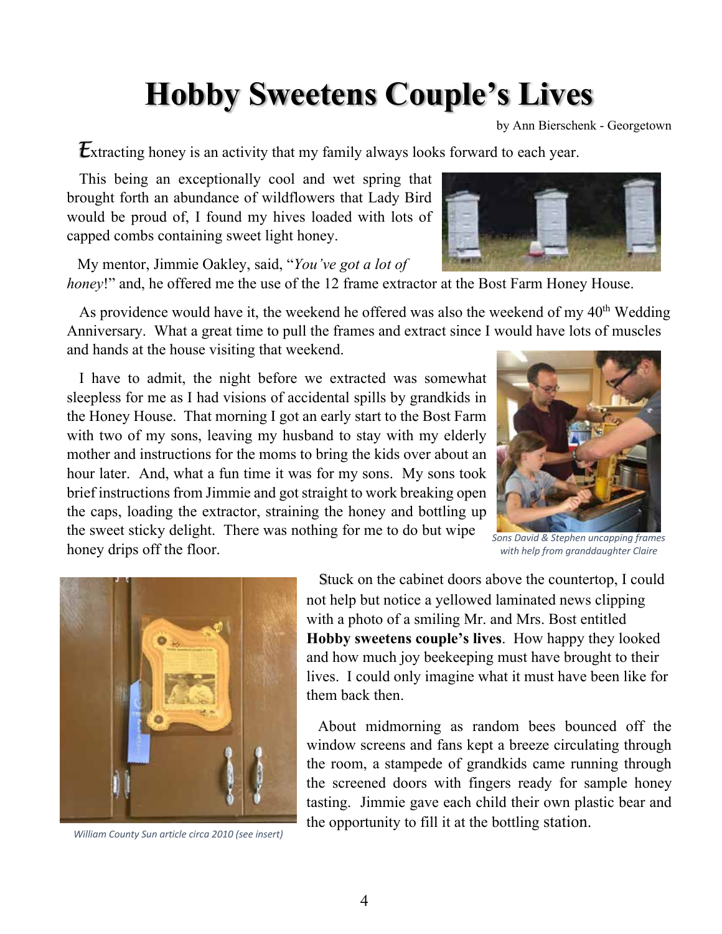## **Hobby Sweetens Couple's Lives**

by Ann Bierschenk - Georgetown

**Extracting honey is an activity that my family always looks forward to each year.** 

 This being an exceptionally cool and wet spring that brought forth an abundance of wildflowers that Lady Bird would be proud of, I found my hives loaded with lots of capped combs containing sweet light honey.

 My mentor, Jimmie Oakley, said, "*You've got a lot of honey!*" and, he offered me the use of the 12 frame extractor at the Bost Farm Honey House.

As providence would have it, the weekend he offered was also the weekend of my  $40<sup>th</sup>$  Wedding Anniversary. What a great time to pull the frames and extract since I would have lots of muscles and hands at the house visiting that weekend.

 I have to admit, the night before we extracted was somewhat sleepless for me as I had visions of accidental spills by grandkids in the Honey House. That morning I got an early start to the Bost Farm with two of my sons, leaving my husband to stay with my elderly mother and instructions for the moms to bring the kids over about an hour later. And, what a fun time it was for my sons. My sons took brief instructions from Jimmie and got straight to work breaking open the caps, loading the extractor, straining the honey and bottling up the sweet sticky delight. There was nothing for me to do but wipe honey drips off the floor.



*Sons David & Stephen uncapping frames with help from granddaughter Claire*



*William County Sun article circa 2010 (see insert)*

 Stuck on the cabinet doors above the countertop, I could not help but notice a yellowed laminated news clipping with a photo of a smiling Mr. and Mrs. Bost entitled **Hobby sweetens couple's lives**. How happy they looked and how much joy beekeeping must have brought to their lives. I could only imagine what it must have been like for them back then.

 About midmorning as random bees bounced off the window screens and fans kept a breeze circulating through the room, a stampede of grandkids came running through the screened doors with fingers ready for sample honey tasting. Jimmie gave each child their own plastic bear and the opportunity to fill it at the bottling station.

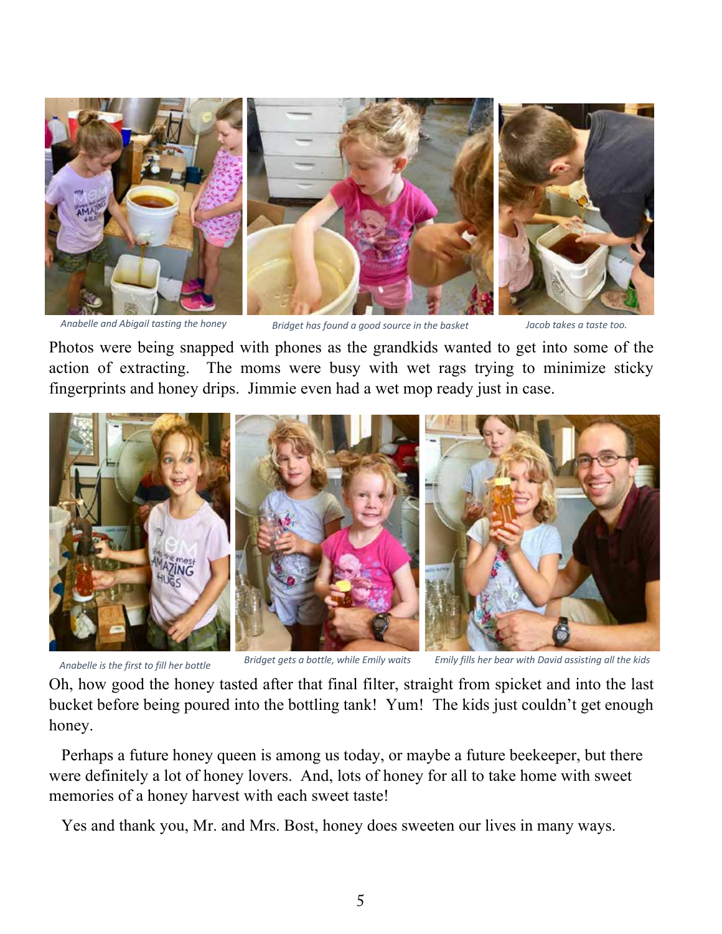



*Anabelle and Abigail tasting the honey Bridget has found a good source in the basket Jacob takes a taste too.*



Photos were being snapped with phones as the grandkids wanted to get into some of the action of extracting. The moms were busy with wet rags trying to minimize sticky fingerprints and honey drips. Jimmie even had a wet mop ready just in case.



*Anabelle is the first to fill her bottle Bridget gets a bottle, while Emily waits Emily fills her bear with David assisting all the kids*

Oh, how good the honey tasted after that final filter, straight from spicket and into the last bucket before being poured into the bottling tank! Yum! The kids just couldn't get enough honey.

 Perhaps a future honey queen is among us today, or maybe a future beekeeper, but there were definitely a lot of honey lovers. And, lots of honey for all to take home with sweet memories of a honey harvest with each sweet taste!

Yes and thank you, Mr. and Mrs. Bost, honey does sweeten our lives in many ways.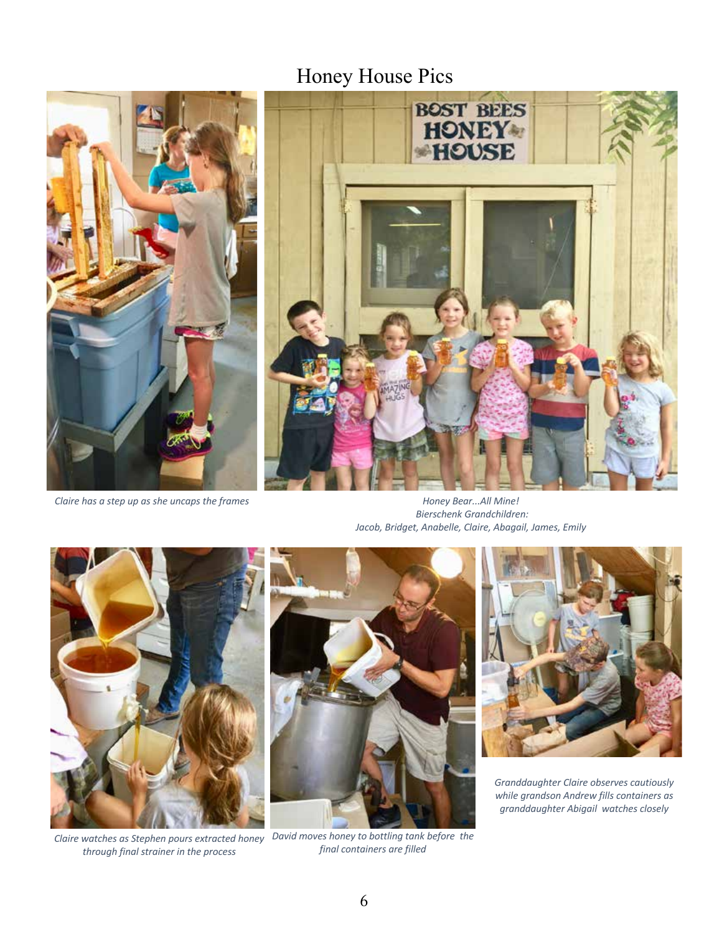## Honey House Pics



*Claire has a step up as she uncaps the frames*



*Honey Bear...All Mine! Bierschenk Grandchildren: Jacob, Bridget, Anabelle, Claire, Abagail, James, Emily*



*through final strainer in the process*



*Claire watches as Stephen pours extracted honey David moves honey to bottling tank before the final containers are filled*



*Granddaughter Claire observes cautiously while grandson Andrew fills containers as granddaughter Abigail watches closely*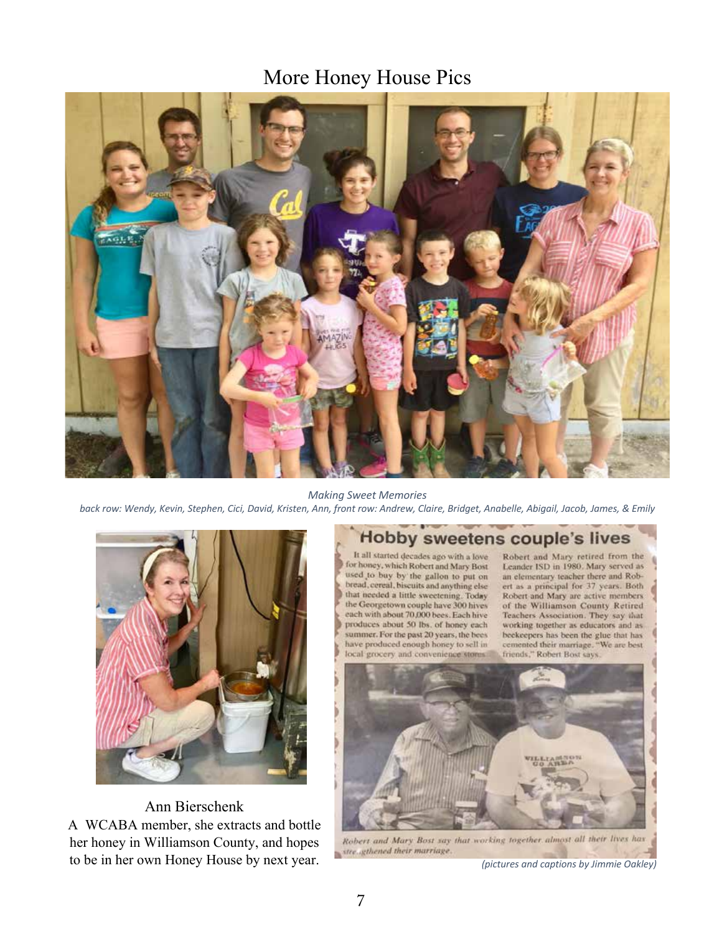## More Honey House Pics



*Making Sweet Memories*

*back row: Wendy, Kevin, Stephen, Cici, David, Kristen, Ann, front row: Andrew, Claire, Bridget, Anabelle, Abigail, Jacob, James, & Emily*



Ann Bierschenk A WCABA member, she extracts and bottle her honey in Williamson County, and hopes to be in her own Honey House by next year.<br> *(pictures and captions by Jimmie Oakley)* 

## Hobby sweetens couple's lives

It all started decades ago with a love for honey, which Robert and Mary Bost used to buy by the gallon to put on bread, cereal, biscuits and anything else that needed a little sweetening. Today the Georgetown couple have 300 hives each with about 70,000 bees. Each hive produces about 50 lbs. of honey each summer. For the past 20 years, the bees have produced enough honey to sell in local grocery and convenience stores.

Robert and Mary retired from the Leander ISD in 1980. Mary served as an elementary teacher there and Robert as a principal for 37 years. Both Robert and Mary are active members of the Williamson County Retired Teachers Association. They say that working together as educators and asbeekeepers has been the glue that has cemented their marriage. "We are best friends," Robert Bost says.



Robert and Mary Bost say that working together almost all their lives has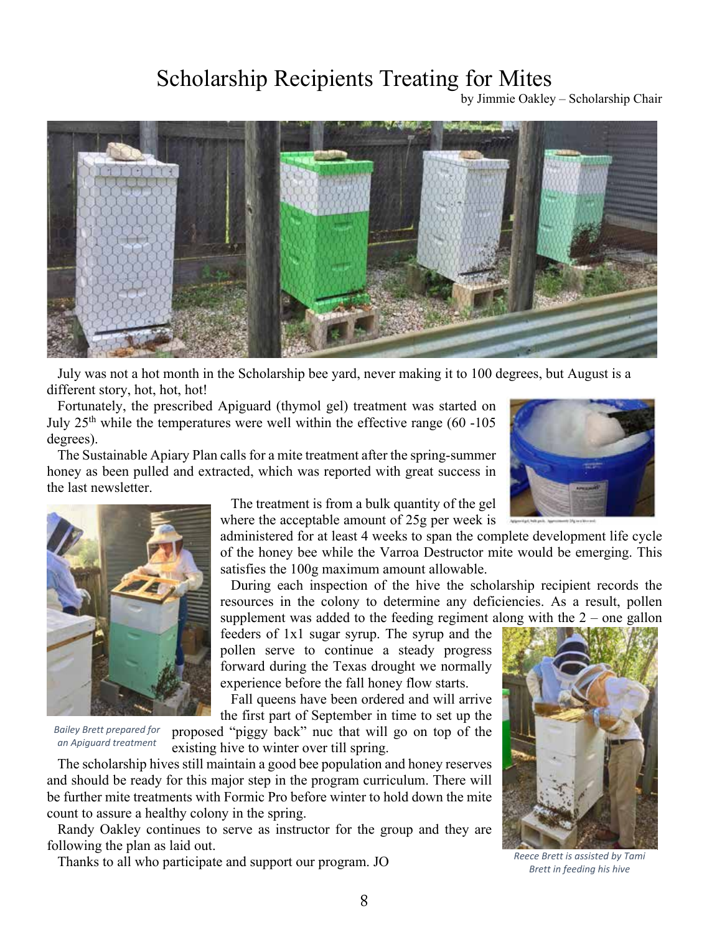## Scholarship Recipients Treating for Mites

by Jimmie Oakley – Scholarship Chair



 July was not a hot month in the Scholarship bee yard, never making it to 100 degrees, but August is a different story, hot, hot, hot!

 Fortunately, the prescribed Apiguard (thymol gel) treatment was started on July  $25<sup>th</sup>$  while the temperatures were well within the effective range (60 -105) degrees).

 The Sustainable Apiary Plan calls for a mite treatment after the spring-summer honey as been pulled and extracted, which was reported with great success in the last newsletter.





*Bailey Brett prepared for an Apiguard treatment*

 The treatment is from a bulk quantity of the gel where the acceptable amount of 25g per week is

administered for at least 4 weeks to span the complete development life cycle of the honey bee while the Varroa Destructor mite would be emerging. This satisfies the 100g maximum amount allowable.

 During each inspection of the hive the scholarship recipient records the resources in the colony to determine any deficiencies. As a result, pollen supplement was added to the feeding regiment along with the  $2$  – one gallon

feeders of 1x1 sugar syrup. The syrup and the pollen serve to continue a steady progress forward during the Texas drought we normally experience before the fall honey flow starts.

 Fall queens have been ordered and will arrive the first part of September in time to set up the

proposed "piggy back" nuc that will go on top of the

existing hive to winter over till spring.

 The scholarship hives still maintain a good bee population and honey reserves and should be ready for this major step in the program curriculum. There will be further mite treatments with Formic Pro before winter to hold down the mite count to assure a healthy colony in the spring.

 Randy Oakley continues to serve as instructor for the group and they are following the plan as laid out.

Thanks to all who participate and support our program. JO



*Reece Brett is assisted by Tami Brett in feeding his hive*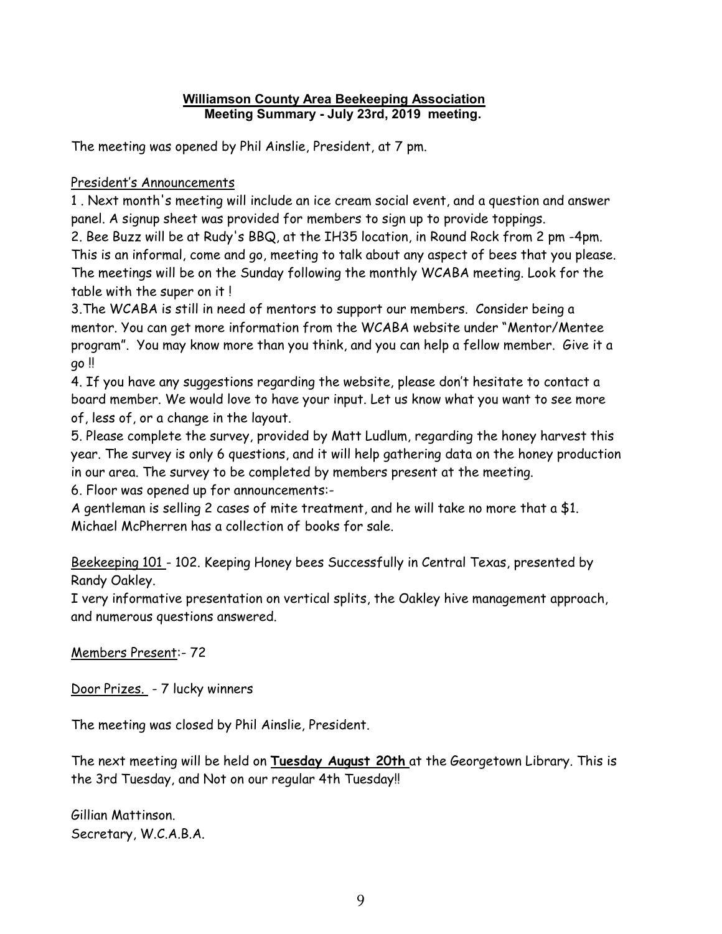### **Williamson County Area Beekeeping Association Meeting Summary - July 23rd, 2019 meeting.**

The meeting was opened by Phil Ainslie, President, at 7 pm.

## President's Announcements

1 . Next month's meeting will include an ice cream social event, and a question and answer panel. A signup sheet was provided for members to sign up to provide toppings.

2. Bee Buzz will be at Rudy's BBQ, at the IH35 location, in Round Rock from 2 pm -4pm. This is an informal, come and go, meeting to talk about any aspect of bees that you please. The meetings will be on the Sunday following the monthly WCABA meeting. Look for the table with the super on it !

3.The WCABA is still in need of mentors to support our members. Consider being a mentor. You can get more information from the WCABA website under "Mentor/Mentee program". You may know more than you think, and you can help a fellow member. Give it a go !!

4. If you have any suggestions regarding the website, please don't hesitate to contact a board member. We would love to have your input. Let us know what you want to see more of, less of, or a change in the layout.

5. Please complete the survey, provided by Matt Ludlum, regarding the honey harvest this year. The survey is only 6 questions, and it will help gathering data on the honey production in our area. The survey to be completed by members present at the meeting.

6. Floor was opened up for announcements:-

A gentleman is selling 2 cases of mite treatment, and he will take no more that a \$1. Michael McPherren has a collection of books for sale.

Beekeeping 101 - 102. Keeping Honey bees Successfully in Central Texas, presented by Randy Oakley.

I very informative presentation on vertical splits, the Oakley hive management approach, and numerous questions answered.

Members Present:- 72

Door Prizes. - 7 lucky winners

The meeting was closed by Phil Ainslie, President.

The next meeting will be held on **Tuesday August 20th** at the Georgetown Library. This is the 3rd Tuesday, and Not on our regular 4th Tuesday!!

Gillian Mattinson. Secretary, W.C.A.B.A.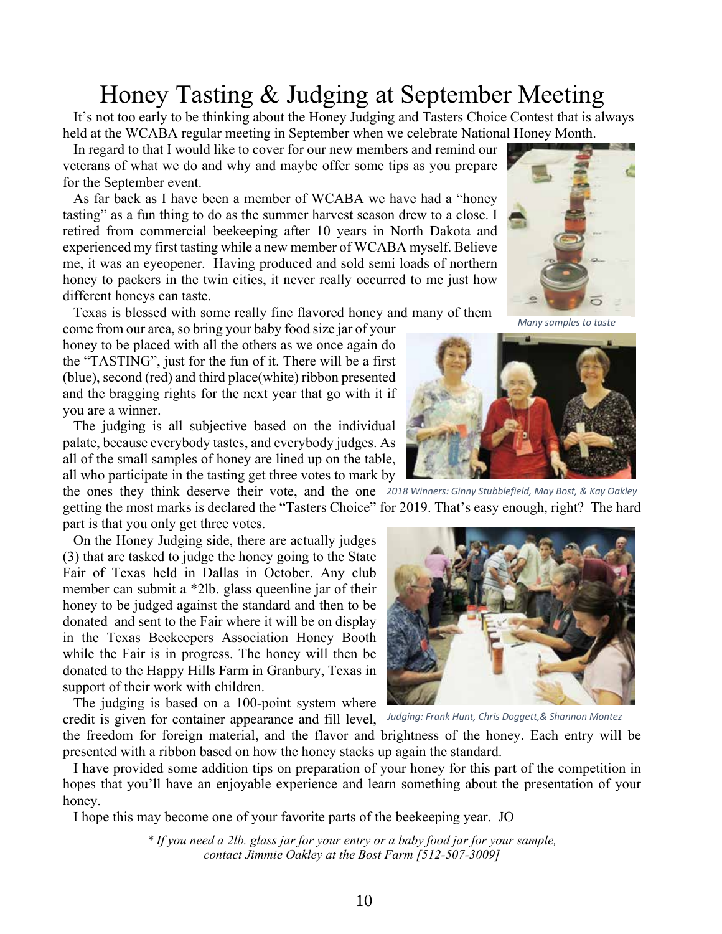## Honey Tasting & Judging at September Meeting<br>It's not too early to be thinking about the Honey Judging and Tasters Choice Contest that is always

held at the WCABA regular meeting in September when we celebrate National Honey Month.

 In regard to that I would like to cover for our new members and remind our veterans of what we do and why and maybe offer some tips as you prepare for the September event.

 As far back as I have been a member of WCABA we have had a "honey tasting" as a fun thing to do as the summer harvest season drew to a close. I retired from commercial beekeeping after 10 years in North Dakota and experienced my first tasting while a new member of WCABA myself. Believe me, it was an eyeopener. Having produced and sold semi loads of northern honey to packers in the twin cities, it never really occurred to me just how different honeys can taste.

Texas is blessed with some really fine flavored honey and many of them

come from our area, so bring your baby food size jar of your honey to be placed with all the others as we once again do the "TASTING", just for the fun of it. There will be a first (blue), second (red) and third place(white) ribbon presented and the bragging rights for the next year that go with it if you are a winner.

 The judging is all subjective based on the individual palate, because everybody tastes, and everybody judges. As all of the small samples of honey are lined up on the table, all who participate in the tasting get three votes to mark by

the ones they think deserve their vote, and the one *2018 Winners: Ginny Stubblefield, May Bost, & Kay Oakley* getting the most marks is declared the "Tasters Choice" for 2019. That's easy enough, right? The hard part is that you only get three votes.

 On the Honey Judging side, there are actually judges (3) that are tasked to judge the honey going to the State Fair of Texas held in Dallas in October. Any club member can submit a \*2lb. glass queenline jar of their honey to be judged against the standard and then to be donated and sent to the Fair where it will be on display in the Texas Beekeepers Association Honey Booth while the Fair is in progress. The honey will then be donated to the Happy Hills Farm in Granbury, Texas in support of their work with children.

 The judging is based on a 100-point system where credit is given for container appearance and fill level, *Judging: Frank Hunt, Chris Doggett,& Shannon Montez*



the freedom for foreign material, and the flavor and brightness of the honey. Each entry will be presented with a ribbon based on how the honey stacks up again the standard.

 I have provided some addition tips on preparation of your honey for this part of the competition in hopes that you'll have an enjoyable experience and learn something about the presentation of your honey.

I hope this may become one of your favorite parts of the beekeeping year. JO

*\* If you need a 2lb. glass jar for your entry or a baby food jar for your sample, contact Jimmie Oakley at the Bost Farm [512-507-3009]*

*Many samples to taste*



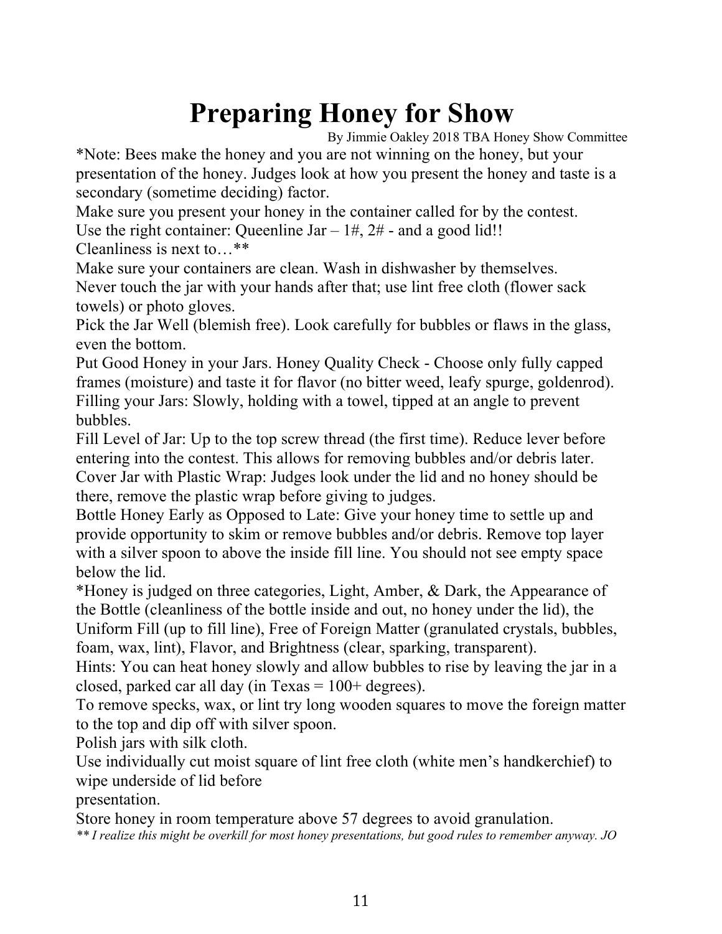## **Preparing Honey for Show**

By Jimmie Oakley 2018 TBA Honey Show Committee

\*Note: Bees make the honey and you are not winning on the honey, but your presentation of the honey. Judges look at how you present the honey and taste is a secondary (sometime deciding) factor.

Make sure you present your honey in the container called for by the contest. Use the right container: Queenline Jar  $-1\#$ ,  $2\#$  - and a good lid!!

Cleanliness is next to…\*\*

Make sure your containers are clean. Wash in dishwasher by themselves. Never touch the jar with your hands after that; use lint free cloth (flower sack towels) or photo gloves.

Pick the Jar Well (blemish free). Look carefully for bubbles or flaws in the glass, even the bottom.

Put Good Honey in your Jars. Honey Quality Check - Choose only fully capped frames (moisture) and taste it for flavor (no bitter weed, leafy spurge, goldenrod). Filling your Jars: Slowly, holding with a towel, tipped at an angle to prevent bubbles.

Fill Level of Jar: Up to the top screw thread (the first time). Reduce lever before entering into the contest. This allows for removing bubbles and/or debris later. Cover Jar with Plastic Wrap: Judges look under the lid and no honey should be there, remove the plastic wrap before giving to judges.

Bottle Honey Early as Opposed to Late: Give your honey time to settle up and provide opportunity to skim or remove bubbles and/or debris. Remove top layer with a silver spoon to above the inside fill line. You should not see empty space below the lid.

\*Honey is judged on three categories, Light, Amber, & Dark, the Appearance of the Bottle (cleanliness of the bottle inside and out, no honey under the lid), the Uniform Fill (up to fill line), Free of Foreign Matter (granulated crystals, bubbles, foam, wax, lint), Flavor, and Brightness (clear, sparking, transparent).

Hints: You can heat honey slowly and allow bubbles to rise by leaving the jar in a closed, parked car all day (in Texas  $= 100 + \text{degrees}$ ).

To remove specks, wax, or lint try long wooden squares to move the foreign matter to the top and dip off with silver spoon.

Polish jars with silk cloth.

Use individually cut moist square of lint free cloth (white men's handkerchief) to wipe underside of lid before

presentation.

Store honey in room temperature above 57 degrees to avoid granulation.

*\*\* I realize this might be overkill for most honey presentations, but good rules to remember anyway. JO*